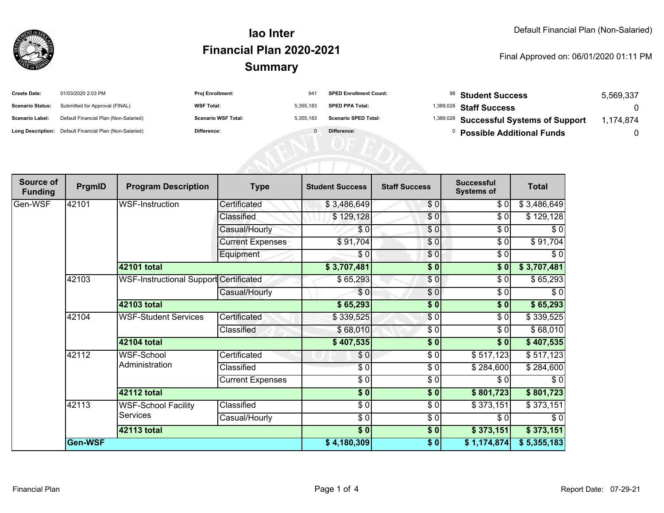

#### **SummaryIao InterFinancial Plan 2020-2021**

#### Final Approved on: 06/01/2020 01:11 PM

| <b>Create Date:</b>     | 01/03/2020 2:03 PM                                      | <b>Proj Enrollment:</b>    | $94^{\circ}$ | <b>SPED Enrollment Count:</b> | <sup>98</sup> Student Success                      | 5,569,337 |
|-------------------------|---------------------------------------------------------|----------------------------|--------------|-------------------------------|----------------------------------------------------|-----------|
| <b>Scenario Status:</b> | Submitted for Approval (FINAL)                          | <b>WSF Total:</b>          | 5.355.183    | <b>SPED PPA Total:</b>        | <sup>1,389,028</sup> Staff Success                 |           |
| <b>Scenario Label:</b>  | Default Financial Plan (Non-Salaried)                   | <b>Scenario WSF Total:</b> | 5.355.183    | <b>Scenario SPED Total:</b>   | <sup>1,389,028</sup> Successful Systems of Support | 174.874   |
|                         | Long Description: Default Financial Plan (Non-Salaried) | <b>Difference:</b>         |              | Difference:                   | <b>Possible Additional Funds</b>                   |           |

| Source of<br><b>Funding</b> | PrgmID  | <b>Program Description</b>             | <b>Type</b>             | <b>Student Success</b>   | <b>Staff Success</b> | <b>Successful</b><br><b>Systems of</b> | <b>Total</b> |
|-----------------------------|---------|----------------------------------------|-------------------------|--------------------------|----------------------|----------------------------------------|--------------|
| Gen-WSF                     | 42101   | <b>WSF-Instruction</b>                 | Certificated            | \$3,486,649              | \$0                  | \$ 0                                   | \$3,486,649  |
|                             |         |                                        | Classified              | \$129,128                | \$0                  | \$0                                    | \$129,128    |
|                             |         |                                        | Casual/Hourly           | \$0                      | \$0                  | \$0                                    | \$0          |
|                             |         |                                        | <b>Current Expenses</b> | \$91,704                 | \$0                  | \$0                                    | \$91,704     |
|                             |         |                                        | Equipment               | \$0                      | \$0                  | \$0                                    | $\sqrt{6}$   |
|                             |         | 42101 total                            |                         | \$3,707,481              | \$0                  | \$0                                    | \$3,707,481  |
|                             | 42103   | WSF-Instructional Support Certificated |                         | \$65,293                 | \$0                  | \$0                                    | \$65,293     |
|                             |         |                                        | Casual/Hourly           | \$0                      | \$0                  | \$0                                    | \$0          |
|                             |         | 42103 total                            |                         | \$65,293                 | \$0                  | \$0                                    | \$65,293     |
|                             | 42104   | <b>WSF-Student Services</b>            | Certificated            | \$339,525                | $\frac{6}{3}$        | $\sqrt{6}$                             | \$339,525    |
|                             |         |                                        | Classified              | \$68,010                 | \$0                  | \$0                                    | \$68,010     |
|                             |         | 42104 total                            |                         | \$407,535                | \$0                  | \$0                                    | \$407,535    |
|                             | 42112   | WSF-School<br>Administration           | Certificated            | \$0                      | $\frac{3}{2}$        | \$517,123                              | \$517,123    |
|                             |         |                                        | Classified              | \$0                      | \$0                  | \$284,600                              | \$284,600    |
|                             |         |                                        | <b>Current Expenses</b> | $\sqrt{3}$               | $\frac{6}{6}$        | \$0                                    | $\sqrt{6}$   |
|                             |         | <b>42112 total</b>                     |                         | $\sqrt{6}$               | $\sqrt{6}$           | \$801,723                              | \$801,723    |
|                             | 42113   | <b>WSF-School Facility</b><br>Services | Classified              | $\overline{\frac{3}{2}}$ | \$0                  | \$373,151                              | \$373,151    |
|                             |         |                                        | Casual/Hourly           | $\frac{6}{6}$            | $\frac{6}{6}$        | \$0                                    | $\sqrt{6}$   |
|                             |         | 42113 total                            |                         | $\overline{\$0}$         | \$0                  | \$373,151                              | \$373,151    |
|                             | Gen-WSF |                                        |                         | \$4,180,309              | \$0                  | \$1,174,874]                           | \$5,355,183  |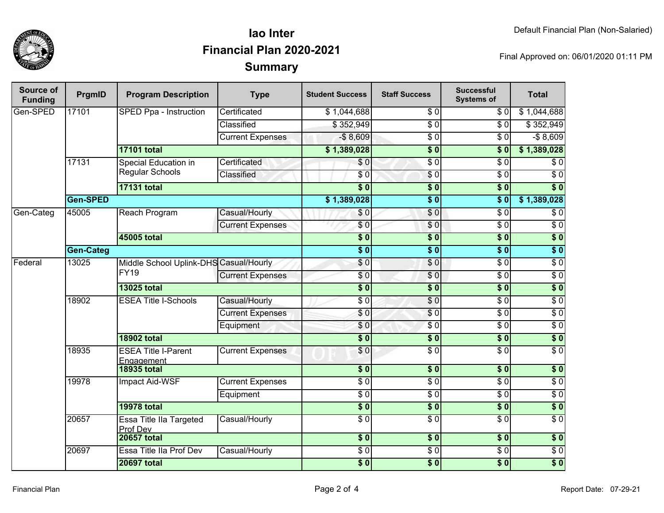

## **SummaryIao InterFinancial Plan 2020-2021**

Final Approved on: 06/01/2020 01:11 PM

| Source of<br><b>Funding</b> | PrgmID           | <b>Program Description</b>                            | <b>Type</b>             | <b>Student Success</b>    | <b>Staff Success</b> | <b>Successful</b><br><b>Systems of</b> | <b>Total</b>     |
|-----------------------------|------------------|-------------------------------------------------------|-------------------------|---------------------------|----------------------|----------------------------------------|------------------|
| Gen-SPED                    | 17101            | SPED Ppa - Instruction                                | Certificated            | \$1,044,688               | \$0                  | \$0                                    | \$1,044,688      |
|                             |                  |                                                       | Classified              | \$352,949                 | $\overline{50}$      | $\overline{\$0}$                       | \$352,949        |
|                             |                  |                                                       | <b>Current Expenses</b> | $-$8,609$                 | $\overline{\$0}$     | \$0                                    | $-$8,609$        |
|                             |                  | <b>17101 total</b>                                    |                         | \$1,389,028               | $\overline{\$0}$     | $\overline{\$0}$                       | \$1,389,028      |
|                             | 17131            | Special Education in<br><b>Regular Schools</b>        | Certificated            | \$0                       | $\overline{30}$      | $\overline{\$0}$                       | \$0              |
|                             |                  |                                                       | Classified              | \$0                       | $\sqrt{6}$           | $\overline{\$0}$                       | $\overline{\$0}$ |
|                             |                  | <b>17131 total</b>                                    |                         | $\overline{\$0}$          | $\overline{\$0}$     | $\overline{\$0}$                       | $\overline{\$0}$ |
|                             | Gen-SPED         |                                                       |                         | \$1,389,028               | $\overline{\$0}$     | $\overline{\$0}$                       | \$1,389,028      |
| Gen-Categ                   | 45005            | Reach Program                                         | Casual/Hourly           | \$0                       | \$0                  | $\overline{\$0}$                       | $\overline{\$0}$ |
|                             |                  |                                                       | <b>Current Expenses</b> | $\overline{\$0}$          | \$0                  | $\overline{\$0}$                       | $\overline{\$0}$ |
|                             |                  | 45005 total                                           |                         | $\overline{\$0}$          | $\overline{\bullet}$ | $\overline{\$0}$                       | $\overline{\$0}$ |
|                             | <b>Gen-Categ</b> |                                                       |                         | $\overline{\$0}$          | $\overline{\$0}$     | $\overline{\$0}$                       | $\sqrt{6}$       |
| Federal                     | 13025            | Middle School Uplink-DHS Casual/Hourly<br><b>FY19</b> |                         | $\overline{60}$           | \$0                  | $\overline{30}$                        | $\overline{60}$  |
|                             |                  |                                                       | <b>Current Expenses</b> | \$0                       | $\frac{6}{6}$        | $\overline{30}$                        | $\overline{30}$  |
|                             |                  | <b>13025 total</b>                                    |                         | $\overline{\$0}$          | $\overline{\$0}$     | $\overline{\$0}$                       | $\overline{\$0}$ |
|                             | 18902            | <b>ESEA Title I-Schools</b>                           | Casual/Hourly           | $\overline{30}$           | $\overline{60}$      | $\overline{30}$                        | $\overline{30}$  |
|                             |                  |                                                       | <b>Current Expenses</b> | \$0                       | \$0                  | $\overline{30}$                        | $\overline{30}$  |
|                             |                  |                                                       | Equipment               | $\sqrt{6}$                | $\overline{30}$      | $\overline{30}$                        | $\overline{\$0}$ |
|                             |                  | <b>18902 total</b>                                    |                         | $\overline{\$0}$          | $\overline{\$0}$     | $\overline{\$0}$                       | $\overline{\$0}$ |
|                             | 18935            | <b>ESEA Title I-Parent</b><br>Engagement              | <b>Current Expenses</b> | \$0                       | $\overline{S}0$      | $\overline{30}$                        | $\overline{50}$  |
|                             |                  | <b>18935 total</b>                                    |                         | $\overline{\textbf{S}^0}$ | $\overline{\$0}$     | $\overline{\$0}$                       | $\overline{\$0}$ |
|                             | 19978            | Impact Aid-WSF                                        | <b>Current Expenses</b> | $\overline{\$0}$          | $\overline{\$0}$     | $\overline{\$0}$                       | $\overline{\$0}$ |
|                             |                  |                                                       | Equipment               | $\overline{30}$           | $\overline{\$0}$     | $\overline{\$0}$                       | $\overline{\$0}$ |
|                             |                  | <b>19978 total</b>                                    |                         | $\sqrt{6}$                | $\overline{\$0}$     | \$0                                    | $\sqrt{6}$       |
|                             | 20657            | <b>Essa Title Ila Targeted</b><br>Prof Dev            | Casual/Hourly           | $\overline{\$0}$          | $\overline{\$0}$     | $\overline{\$0}$                       | $\overline{\$0}$ |
|                             |                  | <b>20657 total</b>                                    |                         | $\overline{\$0}$          | $\overline{\$0}$     | $\overline{\$0}$                       | \$0              |
|                             | 20697            | Essa Title IIa Prof Dev                               | Casual/Hourly           | $\overline{\$0}$          | $\overline{30}$      | $\overline{\$0}$                       | $\overline{60}$  |
|                             |                  | <b>20697 total</b>                                    |                         | $\overline{\$0}$          | $\overline{\$0}$     | $\overline{\$0}$                       | $\overline{\$0}$ |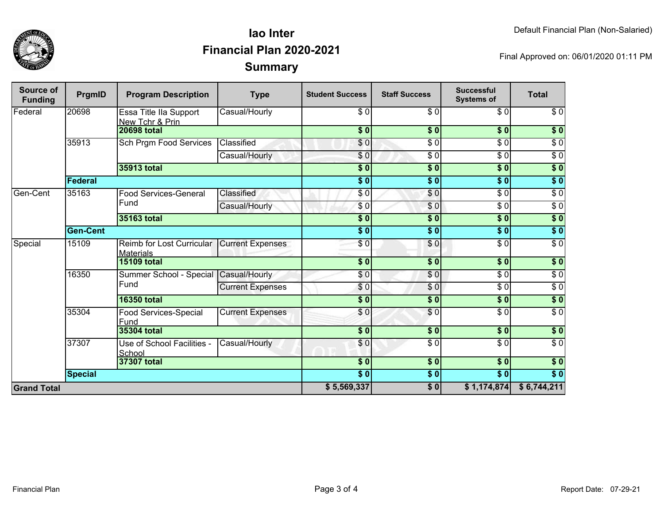

## **SummaryIao InterFinancial Plan 2020-2021**

Final Approved on: 06/01/2020 01:11 PM

| Source of<br><b>Funding</b> | PrgmID          | <b>Program Description</b>                    | <b>Type</b>             | <b>Student Success</b> | <b>Staff Success</b> | <b>Successful</b><br><b>Systems of</b> | <b>Total</b>     |
|-----------------------------|-----------------|-----------------------------------------------|-------------------------|------------------------|----------------------|----------------------------------------|------------------|
| Federal                     | 20698           | Essa Title IIa Support<br>New Tchr & Prin     | Casual/Hourly           | \$0                    | $\overline{\$0}$     | $\sqrt{6}$                             | \$0              |
|                             |                 | <b>20698 total</b>                            |                         | $\sqrt{6}$             | $\overline{\$0}$     | $\overline{\textbf{S}^0}$              | $\sqrt{ }$       |
|                             | 35913           | Sch Prgm Food Services                        | Classified              | \$0                    | $\overline{\$0}$     | \$0                                    | $\sqrt{6}$       |
|                             |                 |                                               | Casual/Hourly           | \$0                    | $\overline{\$0}$     | $\sqrt{6}$                             | $\sqrt{6}$       |
|                             |                 | 35913 total                                   |                         | $\overline{\$}0$       | \$0                  | \$0                                    | \$0              |
|                             | <b>Federal</b>  |                                               |                         | \$0                    | \$0                  | \$0                                    | $\overline{\$0}$ |
| Gen-Cent                    | 35163           | <b>Food Services-General</b><br>Fund          | Classified              | \$0                    | \$0                  | $\overline{\$0}$                       | $\overline{\$0}$ |
|                             |                 |                                               | Casual/Hourly           | \$0                    | \$0                  | $\sqrt{6}$                             | $\sqrt{6}$       |
|                             |                 | 35163 total                                   |                         | $\overline{\$0}$       | \$0                  | $\sqrt{6}$                             | \$0              |
|                             | <b>Gen-Cent</b> |                                               |                         | $\sqrt{6}$             | \$0                  | \$0                                    | \$0              |
| Special                     | 15109           | Reimb for Lost Curricular<br><b>Materials</b> | <b>Current Expenses</b> | $\overline{\$0}$       | \$0                  | $\overline{\$0}$                       | $\overline{\$0}$ |
|                             |                 | <b>15109 total</b>                            |                         | $\sqrt{6}$             | \$0                  | \$0                                    | \$0              |
|                             | 16350           | Summer School - Special Casual/Hourly<br>Fund |                         | \$0                    | $\frac{6}{2}$        | $\frac{6}{6}$                          | \$0              |
|                             |                 |                                               | <b>Current Expenses</b> | \$0                    | \$0                  | $\frac{6}{6}$                          | $\sqrt{6}$       |
|                             |                 | <b>16350 total</b>                            |                         | \$0                    | \$0                  | $\frac{1}{2}$                          | $\overline{\$0}$ |
|                             | 35304           | <b>Food Services-Special</b><br>Fund          | <b>Current Expenses</b> | \$0                    | \$0                  | $\sqrt{6}$                             | $\sqrt{6}$       |
|                             |                 | 35304 total                                   |                         | $\overline{\$0}$       | $\overline{\$0}$     | $\overline{\$0}$                       | $\sqrt{6}$       |
|                             | 37307           | Use of School Facilities -<br>School          | Casual/Hourly           | \$0                    | $\overline{\$0}$     | $\overline{30}$                        | $\overline{60}$  |
|                             | 37307 total     |                                               |                         | $\sqrt{6}$             | $\frac{1}{6}$        | $\vert \sqrt[6]{0} \vert$              | $\sqrt{6}$       |
|                             | <b>Special</b>  |                                               |                         | $\overline{\$0}$       | \$0                  | $\overline{\textbf{S}^0}$              | $\overline{\$0}$ |
| <b>Grand Total</b>          |                 |                                               |                         |                        | \$0                  | \$1,174,874                            | \$6,744,211      |